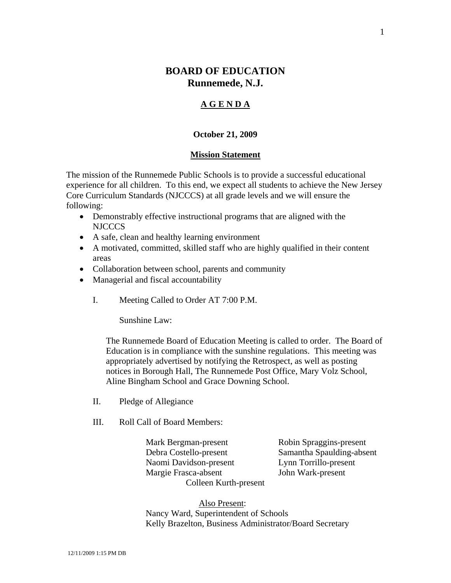# **BOARD OF EDUCATION Runnemede, N.J.**

## **A G E N D A**

### **October 21, 2009**

#### **Mission Statement**

The mission of the Runnemede Public Schools is to provide a successful educational experience for all children. To this end, we expect all students to achieve the New Jersey Core Curriculum Standards (NJCCCS) at all grade levels and we will ensure the following:

- Demonstrably effective instructional programs that are aligned with the NJCCCS
- A safe, clean and healthy learning environment
- A motivated, committed, skilled staff who are highly qualified in their content areas
- Collaboration between school, parents and community
- Managerial and fiscal accountability
	- I. Meeting Called to Order AT 7:00 P.M.

Sunshine Law:

The Runnemede Board of Education Meeting is called to order. The Board of Education is in compliance with the sunshine regulations. This meeting was appropriately advertised by notifying the Retrospect, as well as posting notices in Borough Hall, The Runnemede Post Office, Mary Volz School, Aline Bingham School and Grace Downing School.

- II. Pledge of Allegiance
- III. Roll Call of Board Members:

 Mark Bergman-present Robin Spraggins-present Debra Costello-present Samantha Spaulding-absent Naomi Davidson-present Lynn Torrillo-present Margie Frasca-absent John Wark-present Colleen Kurth-present

 Also Present: Nancy Ward, Superintendent of Schools Kelly Brazelton, Business Administrator/Board Secretary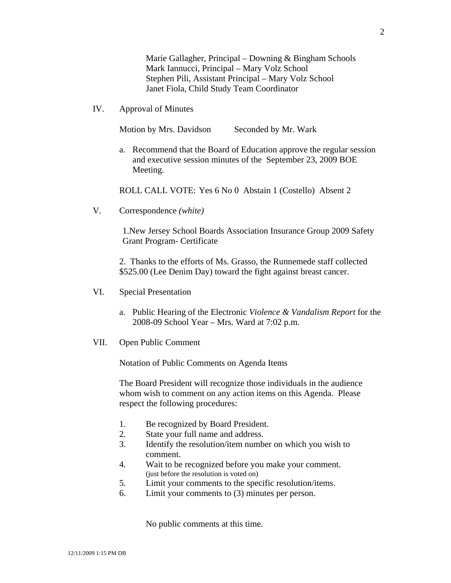Marie Gallagher, Principal – Downing & Bingham Schools Mark Iannucci, Principal – Mary Volz School Stephen Pili, Assistant Principal – Mary Volz School Janet Fiola, Child Study Team Coordinator

IV. Approval of Minutes

Motion by Mrs. Davidson Seconded by Mr. Wark

a. Recommend that the Board of Education approve the regular session and executive session minutes of the September 23, 2009 BOE Meeting.

ROLL CALL VOTE: Yes 6 No 0 Abstain 1 (Costello) Absent 2

V. Correspondence *(white)*

1.New Jersey School Boards Association Insurance Group 2009 Safety Grant Program- Certificate

2. Thanks to the efforts of Ms. Grasso, the Runnemede staff collected \$525.00 (Lee Denim Day) toward the fight against breast cancer.

- VI. Special Presentation
	- a. Public Hearing of the Electronic *Violence & Vandalism Report* for the 2008-09 School Year – Mrs. Ward at 7:02 p.m.
- VII. Open Public Comment

Notation of Public Comments on Agenda Items

The Board President will recognize those individuals in the audience whom wish to comment on any action items on this Agenda. Please respect the following procedures:

- 1. Be recognized by Board President.
- 2. State your full name and address.
- 3. Identify the resolution/item number on which you wish to comment.
- 4. Wait to be recognized before you make your comment. (just before the resolution is voted on)
- 5. Limit your comments to the specific resolution/items.
- 6. Limit your comments to (3) minutes per person.

No public comments at this time.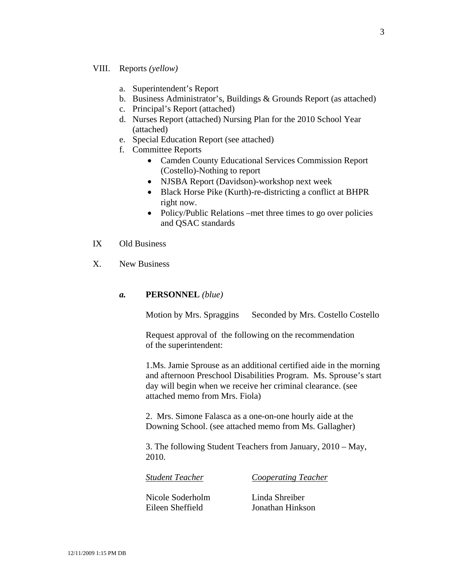### VIII. Reports *(yellow)*

- a. Superintendent's Report
- b. Business Administrator's, Buildings & Grounds Report (as attached)
- c. Principal's Report (attached)
- d. Nurses Report (attached) Nursing Plan for the 2010 School Year (attached)
- e. Special Education Report (see attached)
- f. Committee Reports
	- Camden County Educational Services Commission Report (Costello)-Nothing to report
	- NJSBA Report (Davidson)-workshop next week
	- Black Horse Pike (Kurth)-re-districting a conflict at BHPR right now.
	- Policy/Public Relations –met three times to go over policies and QSAC standards

## IX Old Business

X. New Business

#### *a.* **PERSONNEL** *(blue)*

Motion by Mrs. Spraggins Seconded by Mrs. Costello Costello

 Request approval of the following on the recommendation of the superintendent:

1.Ms. Jamie Sprouse as an additional certified aide in the morning and afternoon Preschool Disabilities Program. Ms. Sprouse's start day will begin when we receive her criminal clearance. (see attached memo from Mrs. Fiola)

2. Mrs. Simone Falasca as a one-on-one hourly aide at the Downing School. (see attached memo from Ms. Gallagher)

3. The following Student Teachers from January, 2010 – May, 2010.

*Student Teacher Cooperating Teacher*

Nicole Soderholm Linda Shreiber

Eileen Sheffield Jonathan Hinkson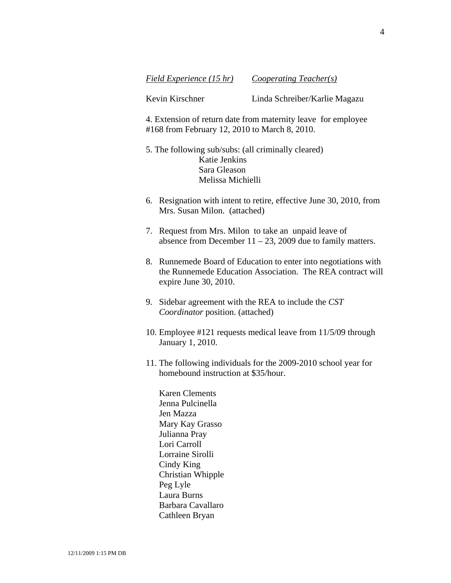*Field Experience (15 hr) Cooperating Teacher(s)*

Kevin Kirschner Linda Schreiber/Karlie Magazu

4. Extension of return date from maternity leave for employee #168 from February 12, 2010 to March 8, 2010.

5. The following sub/subs: (all criminally cleared) Katie Jenkins Sara Gleason Melissa Michielli

- 6. Resignation with intent to retire, effective June 30, 2010, from Mrs. Susan Milon. (attached)
- 7. Request from Mrs. Milon to take an unpaid leave of absence from December  $11 - 23$ , 2009 due to family matters.
- 8. Runnemede Board of Education to enter into negotiations with the Runnemede Education Association. The REA contract will expire June 30, 2010.
- 9. Sidebar agreement with the REA to include the *CST Coordinator* position. (attached)
- 10. Employee #121 requests medical leave from 11/5/09 through January 1, 2010.
- 11. The following individuals for the 2009-2010 school year for homebound instruction at \$35/hour.

Karen Clements Jenna Pulcinella Jen Mazza Mary Kay Grasso Julianna Pray Lori Carroll Lorraine Sirolli Cindy King Christian Whipple Peg Lyle Laura Burns Barbara Cavallaro Cathleen Bryan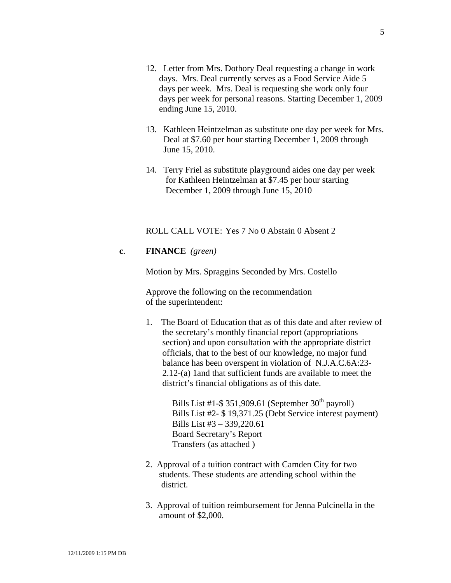- 12. Letter from Mrs. Dothory Deal requesting a change in work days. Mrs. Deal currently serves as a Food Service Aide 5 days per week. Mrs. Deal is requesting she work only four days per week for personal reasons. Starting December 1, 2009 ending June 15, 2010.
- 13. Kathleen Heintzelman as substitute one day per week for Mrs. Deal at \$7.60 per hour starting December 1, 2009 through June 15, 2010.
- 14. Terry Friel as substitute playground aides one day per week for Kathleen Heintzelman at \$7.45 per hour starting December 1, 2009 through June 15, 2010

ROLL CALL VOTE: Yes 7 No 0 Abstain 0 Absent 2

## **c**. **FINANCE** *(green)*

Motion by Mrs. Spraggins Seconded by Mrs. Costello

Approve the following on the recommendation of the superintendent:

1. The Board of Education that as of this date and after review of the secretary's monthly financial report (appropriations section) and upon consultation with the appropriate district officials, that to the best of our knowledge, no major fund balance has been overspent in violation of N.J.A.C.6A:23- 2.12-(a) 1and that sufficient funds are available to meet the district's financial obligations as of this date.

> Bills List #1-\$ 351,909.61 (September  $30<sup>th</sup>$  payroll) Bills List #2- \$ 19,371.25 (Debt Service interest payment) Bills List #3 – 339,220.61 Board Secretary's Report Transfers (as attached )

- 2. Approval of a tuition contract with Camden City for two students. These students are attending school within the district.
- 3. Approval of tuition reimbursement for Jenna Pulcinella in the amount of \$2,000.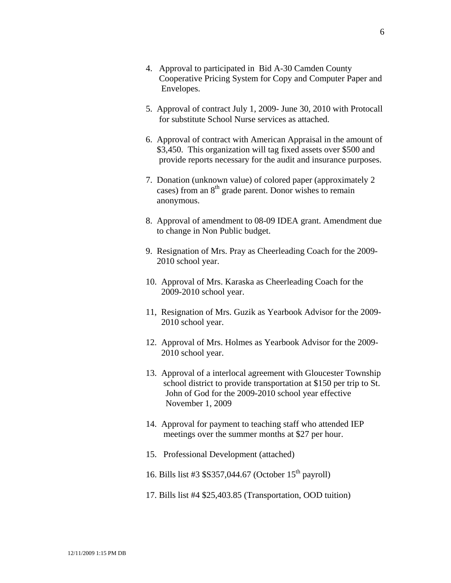- 4. Approval to participated in Bid A-30 Camden County Cooperative Pricing System for Copy and Computer Paper and Envelopes.
- 5. Approval of contract July 1, 2009- June 30, 2010 with Protocall for substitute School Nurse services as attached.
- 6. Approval of contract with American Appraisal in the amount of \$3,450. This organization will tag fixed assets over \$500 and provide reports necessary for the audit and insurance purposes.
- 7. Donation (unknown value) of colored paper (approximately 2 cases) from an 8<sup>th</sup> grade parent. Donor wishes to remain anonymous.
- 8. Approval of amendment to 08-09 IDEA grant. Amendment due to change in Non Public budget.
- 9. Resignation of Mrs. Pray as Cheerleading Coach for the 2009- 2010 school year.
- 10. Approval of Mrs. Karaska as Cheerleading Coach for the 2009-2010 school year.
- 11, Resignation of Mrs. Guzik as Yearbook Advisor for the 2009- 2010 school year.
- 12. Approval of Mrs. Holmes as Yearbook Advisor for the 2009- 2010 school year.
- 13. Approval of a interlocal agreement with Gloucester Township school district to provide transportation at \$150 per trip to St. John of God for the 2009-2010 school year effective November 1, 2009
- 14. Approval for payment to teaching staff who attended IEP meetings over the summer months at \$27 per hour.
- 15. Professional Development (attached)
- 16. Bills list #3 \$S357,044.67 (October  $15<sup>th</sup>$  payroll)
- 17. Bills list #4 \$25,403.85 (Transportation, OOD tuition)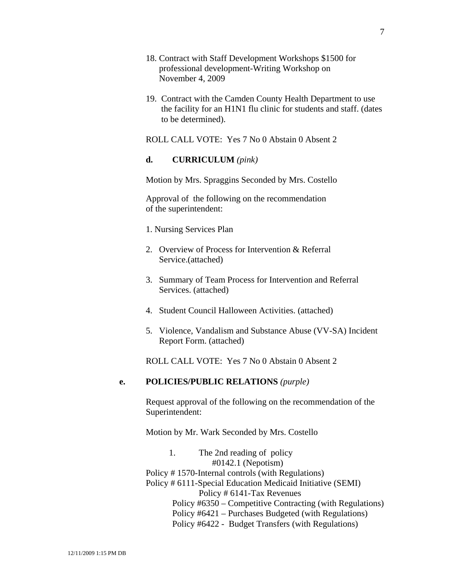- 18. Contract with Staff Development Workshops \$1500 for professional development-Writing Workshop on November 4, 2009
- 19. Contract with the Camden County Health Department to use the facility for an H1N1 flu clinic for students and staff. (dates to be determined).

ROLL CALL VOTE: Yes 7 No 0 Abstain 0 Absent 2

## **d. CURRICULUM** *(pink)*

Motion by Mrs. Spraggins Seconded by Mrs. Costello

Approval of the following on the recommendation of the superintendent:

- 1. Nursing Services Plan
- 2. Overview of Process for Intervention & Referral Service.(attached)
- 3. Summary of Team Process for Intervention and Referral Services. (attached)
- 4. Student Council Halloween Activities. (attached)
- 5. Violence, Vandalism and Substance Abuse (VV-SA) Incident Report Form. (attached)

ROLL CALL VOTE: Yes 7 No 0 Abstain 0 Absent 2

## **e. POLICIES/PUBLIC RELATIONS** *(purple)*

Request approval of the following on the recommendation of the Superintendent:

Motion by Mr. Wark Seconded by Mrs. Costello

## 1. The 2nd reading of policy #0142.1 (Nepotism) Policy # 1570-Internal controls (with Regulations) Policy # 6111-Special Education Medicaid Initiative (SEMI) Policy # 6141-Tax Revenues Policy #6350 – Competitive Contracting (with Regulations) Policy #6421 – Purchases Budgeted (with Regulations) Policy #6422 - Budget Transfers (with Regulations)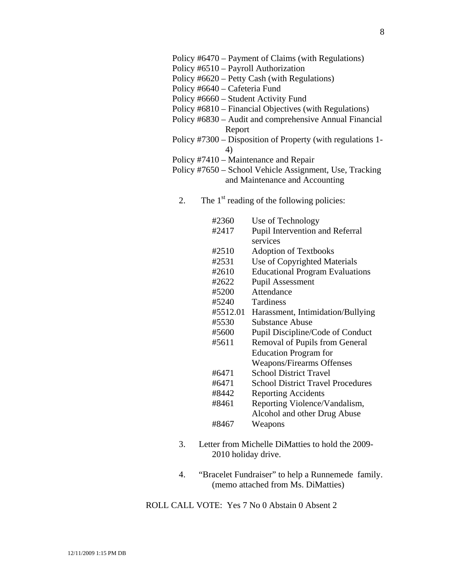- Policy #6510 Payroll Authorization
- Policy #6620 Petty Cash (with Regulations)
- Policy #6640 Cafeteria Fund
- Policy #6660 Student Activity Fund
- Policy #6810 Financial Objectives (with Regulations)
- Policy #6830 Audit and comprehensive Annual Financial Report
- Policy #7300 Disposition of Property (with regulations 1- 4)
	- Policy #7410 Maintenance and Repair
	- Policy #7650 School Vehicle Assignment, Use, Tracking and Maintenance and Accounting
		- 2. The  $1<sup>st</sup>$  reading of the following policies:
			- #2360 Use of Technology #2417 Pupil Intervention and Referral services #2510 Adoption of Textbooks #2531 Use of Copyrighted Materials #2610 Educational Program Evaluations #2622 Pupil Assessment #5200 Attendance #5240 Tardiness #5512.01 Harassment, Intimidation/Bullying #5530 Substance Abuse #5600 Pupil Discipline/Code of Conduct #5611 Removal of Pupils from General Education Program for Weapons/Firearms Offenses #6471 School District Travel #6471 School District Travel Procedures #8442 Reporting Accidents #8461 Reporting Violence/Vandalism, Alcohol and other Drug Abuse #8467 Weapons
		- 3. Letter from Michelle DiMatties to hold the 2009- 2010 holiday drive.
		- 4. "Bracelet Fundraiser" to help a Runnemede family. (memo attached from Ms. DiMatties)

ROLL CALL VOTE: Yes 7 No 0 Abstain 0 Absent 2